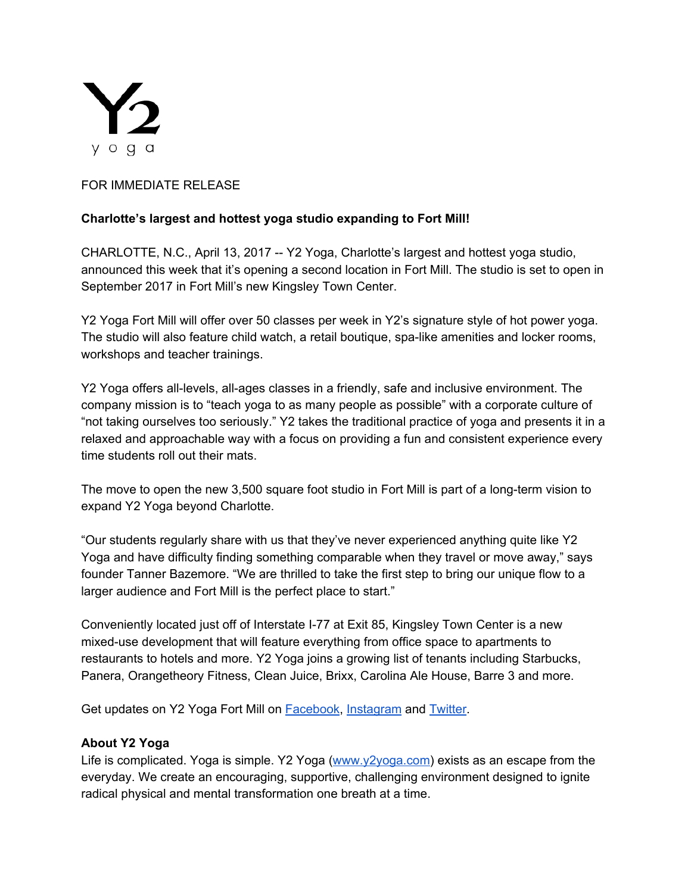

## FOR IMMEDIATE RELEASE

## **Charlotte's largest and hottest yoga studio expanding to Fort Mill!**

CHARLOTTE, N.C., April 13, 2017 -- Y2 Yoga, Charlotte's largest and hottest yoga studio, announced this week that it's opening a second location in Fort Mill. The studio is set to open in September 2017 in Fort Mill's new Kingsley Town Center.

Y2 Yoga Fort Mill will offer over 50 classes per week in Y2's signature style of hot power yoga. The studio will also feature child watch, a retail boutique, spa-like amenities and locker rooms, workshops and teacher trainings.

Y2 Yoga offers all-levels, all-ages classes in a friendly, safe and inclusive environment. The company mission is to "teach yoga to as many people as possible" with a corporate culture of "not taking ourselves too seriously." Y2 takes the traditional practice of yoga and presents it in a relaxed and approachable way with a focus on providing a fun and consistent experience every time students roll out their mats.

The move to open the new 3,500 square foot studio in Fort Mill is part of a long-term vision to expand Y2 Yoga beyond Charlotte.

"Our students regularly share with us that they've never experienced anything quite like Y2 Yoga and have difficulty finding something comparable when they travel or move away," says founder Tanner Bazemore. "We are thrilled to take the first step to bring our unique flow to a larger audience and Fort Mill is the perfect place to start."

Conveniently located just off of Interstate I-77 at Exit 85, Kingsley Town Center is a new mixed-use development that will feature everything from office space to apartments to restaurants to hotels and more. Y2 Yoga joins a growing list of tenants including Starbucks, Panera, Orangetheory Fitness, Clean Juice, Brixx, Carolina Ale House, Barre 3 and more.

Get updates on Y2 Yoga Fort Mill on **Facebook**, [Instagram](http://www.instagram.com/y2yogafortmill) and **Twitter**.

## **About Y2 Yoga**

Life is complicated. Yoga is simple. Y2 Yoga [\(www.y2yoga.com\)](http://www.y2yoga.com/) exists as an escape from the everyday. We create an encouraging, supportive, challenging environment designed to ignite radical physical and mental transformation one breath at a time.